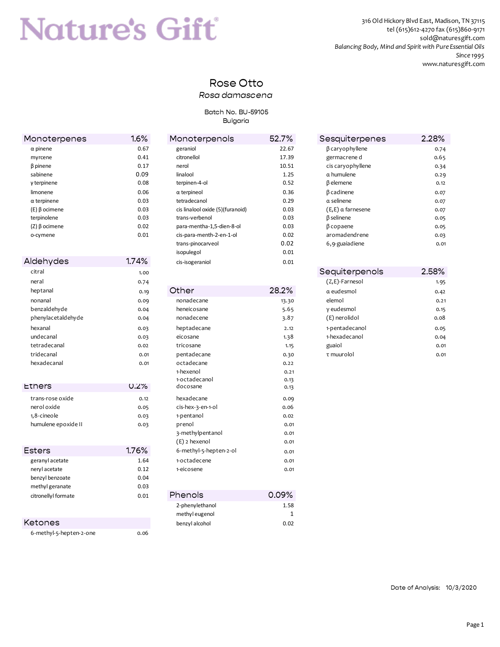# **Nature's Gift**

316 Old Hickory Blvd East, Madison, TN 37115 tel (615)612-4270 fax (615)860-9171 sold@naturesgift.com *Balancing Body, Mind and Spirit with Pure Essential Oils Since 1995* www.naturesgift.com

## Rose Otto

#### *Rosa damascena*

#### Batch No. BU-59105 Bulgaria

| Monoterpenes            | 1.6%  | Monoterpenols                    | 52.7%        | Sesquiterpenes        | 2.28% |
|-------------------------|-------|----------------------------------|--------------|-----------------------|-------|
| $\alpha$ pinene         | 0.67  | geraniol                         | 22.67        | $\beta$ caryophyllene | 0.74  |
| myrcene                 | 0.41  | citronellol                      | 17.39        | germacrene d          | 0.65  |
| $\beta$ pinene          | 0.17  | nerol                            | 10.51        | cis caryophyllene     | 0.34  |
| sabinene                | 0.09  | linalool                         | 1.25         | $\alpha$ humulene     | 0.29  |
| $y$ terpinene           | 0.08  | terpinen-4-ol                    | 0.52         | $\beta$ elemene       | 0.12  |
| limonene                | 0.06  | $\alpha$ terpineol               | 0.36         | $\beta$ cadinene      | 0.07  |
| $\alpha$ terpinene      | 0.03  | tetradecanol                     | 0.29         | $\alpha$ selinene     | 0.07  |
| $(E)$ $\beta$ ocimene   | 0.03  | cis linalool oxide (5)(furanoid) | 0.03         | $(E, E)$ a farnesene  | 0.07  |
| terpinolene             | 0.03  | trans-verbenol                   | 0.03         | $\beta$ selinene      | 0.05  |
| $(Z)$ $\beta$ ocimene   | 0.02  | para-mentha-1,5-dien-8-ol        | 0.03         | $\beta$ copaene       | 0.05  |
| o-cymene                | 0.01  | cis-para-menth-2-en-1-ol         | 0.02         | aromadendrene         | 0.03  |
|                         |       | trans-pinocarveol                | 0.02         | 6,9-guaiadiene        | 0.01  |
|                         |       | isopulegol                       | 0.01         |                       |       |
| Aldehydes               | 1.74% | cis-isogeraniol                  | 0.01         |                       |       |
| citral                  | 1.00  |                                  |              | Sequiterpenols        | 2.58% |
| neral                   | 0.74  |                                  |              | (Z,E)-Farnesol        | 1.95  |
| heptanal                | 0.19  | Other                            | 28.2%        | $\alpha$ eudesmol     | 0.42  |
| nonanal                 | 0.09  | nonadecane                       | 13.30        | elemol                | 0.21  |
| benzaldehyde            | 0.04  | heneicosane                      | 5.65         | y eudesmol            | 0.15  |
| phenylacetaldehyde      | 0.04  | nonadecene                       | 3.87         | (E) nerolidol         | 0.08  |
| hexanal                 | 0.03  | heptadecane                      | 2.12         | 1-pentadecanol        | 0.05  |
| undecanal               | 0.03  | eicosane                         | 1.38         | 1-hexadecanol         | 0.04  |
| tetradecanal            | 0.02  | tricosane                        | 1.15         | guaiol                | 0.01  |
| tridecanal              | 0.01  | pentadecane                      | 0.30         | τ muurolol            | 0.01  |
| hexadecanal             | 0.01  | octadecane                       | 0.22         |                       |       |
|                         |       | 1-hexenol                        | 0.21         |                       |       |
|                         |       | 1-octadecanol                    | 0.13         |                       |       |
| <b>Ethers</b>           | 0.2%  | docosane                         | 0.13         |                       |       |
| trans-rose oxide        | 0.12  | hexadecane                       | 0.09         |                       |       |
| nerol oxide             | 0.05  | cis-hex-3-en-1-ol                | 0.06         |                       |       |
| 1,8-cineole             | 0.03  | 1-pentanol                       | 0.02         |                       |       |
| humulene epoxide II     | 0.03  | prenol                           | 0.01         |                       |       |
|                         |       | 3-methylpentanol                 | 0.01         |                       |       |
|                         |       | (E) 2 hexenol                    | 0.01         |                       |       |
| <b>Esters</b>           | 1.76% | 6-methyl-5-hepten-2-ol           | 0.01         |                       |       |
| geranyl acetate         | 1.64  | 1-octadecene                     | 0.01         |                       |       |
| neryl acetate           | 0.12  | 1-eicosene                       | 0.01         |                       |       |
| benzyl benzoate         | 0.04  |                                  |              |                       |       |
| methyl geranate         | 0.03  |                                  |              |                       |       |
| citronellyI formate     | 0.01  | Phenols                          | 0.09%        |                       |       |
|                         |       | 2-phenylethanol                  | 1.58         |                       |       |
|                         |       | methyl eugenol                   | $\mathbf{1}$ |                       |       |
| Ketones                 |       | benzyl alcohol                   | 0.02         |                       |       |
| 6-methyl-5-hepten-2-one | 0.06  |                                  |              |                       |       |

| numulene                 | 0.29  |
|--------------------------|-------|
| lemene                   | 0.12  |
| adinene                  | 0.07  |
| elinene                  | 0.07  |
| $E$ ) $\alpha$ farnesene | 0.07  |
| elinene                  | 0.05  |
| opaene                   | 0.05  |
| omadendrene              | 0.03  |
| )-guaiadiene             | 0.01  |
|                          |       |
|                          |       |
| uuitarnanala             | 2E00/ |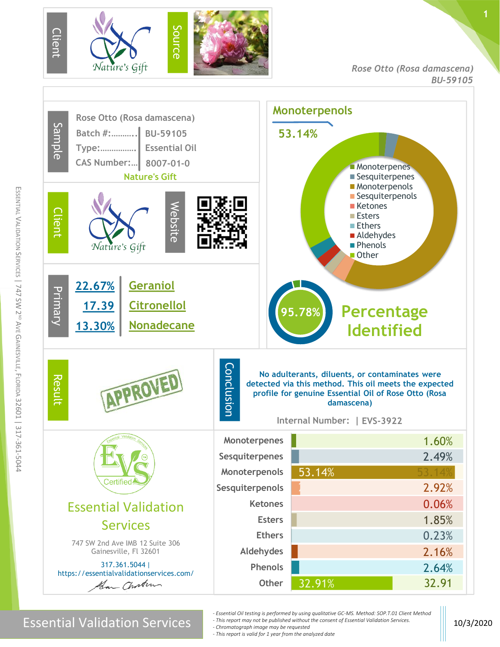

*Rose Otto (Rosa damascena) BU-59105*

**1**



m

Essential Validation Services 10. Although the consent of Essential Validation Services.

- *- Essential Oil testing is performed by using qualitative GC-MS. Method: SOP.T.01 Client Method - This report may not be published without the consent of Essential Validation Services.*
- *- Chromatograph image may be requested*
- *- This report is valid for 1 year from the analyzed date*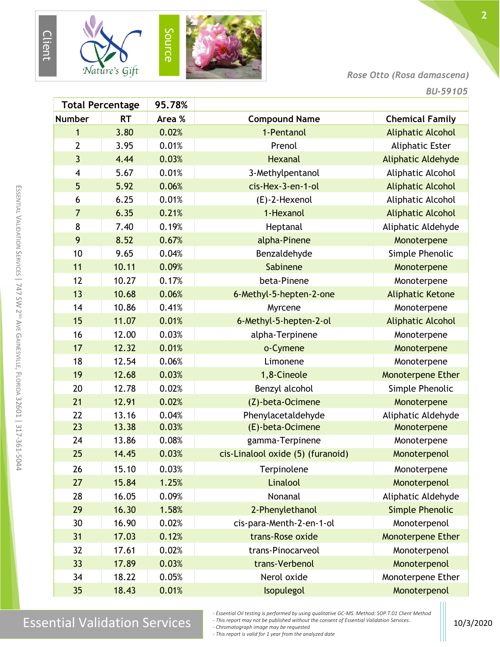

## *Rose Otto (Rosa damascena)*

|                         | <b>Total Percentage</b> | 95.78% |                                   |                          |
|-------------------------|-------------------------|--------|-----------------------------------|--------------------------|
| <b>Number</b>           | <b>RT</b>               | Area % | <b>Compound Name</b>              | <b>Chemical Family</b>   |
| 1                       | 3.80                    | 0.02%  | 1-Pentanol                        | <b>Aliphatic Alcohol</b> |
| $\overline{2}$          | 3.95                    | 0.01%  | Prenol                            | <b>Aliphatic Ester</b>   |
| $\overline{3}$          | 4.44                    | 0.03%  | <b>Hexanal</b>                    | Aliphatic Aldehyde       |
| $\overline{\mathbf{4}}$ | 5.67                    | 0.01%  | 3-Methylpentanol                  | Aliphatic Alcohol        |
| 5                       | 5.92                    | 0.06%  | cis-Hex-3-en-1-ol                 | <b>Aliphatic Alcohol</b> |
| 6                       | 6.25                    | 0.01%  | (E)-2-Hexenol                     | Aliphatic Alcohol        |
| $\overline{7}$          | 6.35                    | 0.21%  | 1-Hexanol                         | <b>Aliphatic Alcohol</b> |
| 8                       | 7.40                    | 0.19%  | Heptanal                          | Aliphatic Aldehyde       |
| 9                       | 8.52                    | 0.67%  | alpha-Pinene                      | Monoterpene              |
| 10                      | 9.65                    | 0.04%  | Benzaldehyde                      | Simple Phenolic          |
| 11                      | 10.11                   | 0.09%  | Sabinene                          | Monoterpene              |
| 12                      | 10.27                   | 0.17%  | beta-Pinene                       | Monoterpene              |
| 13                      | 10.68                   | 0.06%  | 6-Methyl-5-hepten-2-one           | <b>Aliphatic Ketone</b>  |
| 14                      | 10.86                   | 0.41%  | Myrcene                           | Monoterpene              |
| 15                      | 11.07                   | 0.01%  | 6-Methyl-5-hepten-2-ol            | <b>Aliphatic Alcohol</b> |
| 16                      | 12.00                   | 0.03%  | alpha-Terpinene                   | Monoterpene              |
| 17                      | 12.32                   | 0.01%  | o-Cymene                          | Monoterpene              |
| 18                      | 12.54                   | 0.06%  | Limonene                          | Monoterpene              |
| 19                      | 12.68                   | 0.03%  | 1,8-Cineole                       | Monoterpene Ether        |
| 20                      | 12.78                   | 0.02%  | Benzyl alcohol                    | Simple Phenolic          |
| 21                      | 12.91                   | 0.02%  | (Z)-beta-Ocimene                  | Monoterpene              |
| 22                      | 13.16                   | 0.04%  | Phenylacetaldehyde                | Aliphatic Aldehyde       |
| 23                      | 13.38                   | 0.03%  | (E)-beta-Ocimene                  | Monoterpene              |
| 24                      | 13.86                   | 0.08%  | gamma-Terpinene                   | Monoterpene              |
| 25                      | 14.45                   | 0.03%  | cis-Linalool oxide (5) (furanoid) | Monoterpenol             |
| 26                      | 15.10                   | 0.03%  | Terpinolene                       | Monoterpene              |
| 27                      | 15.84                   | 1.25%  | Linalool                          | Monoterpenol             |
| 28                      | 16.05                   | 0.09%  | Nonanal                           | Aliphatic Aldehyde       |
| 29                      | 16.30                   | 1.58%  | 2-Phenylethanol                   | <b>Simple Phenolic</b>   |
| 30                      | 16.90                   | 0.02%  | cis-para-Menth-2-en-1-ol          | Monoterpenol             |
| 31                      | 17.03                   | 0.12%  | trans-Rose oxide                  | Monoterpene Ether        |
| 32                      | 17.61                   | 0.02%  | trans-Pinocarveol                 | Monoterpenol             |
| 33                      | 17.89                   | 0.03%  | trans-Verbenol                    | Monoterpenol             |
| 34                      | 18.22                   | 0.05%  | Nerol oxide                       | Monoterpene Ether        |
| 35                      | 18.43                   | 0.01%  | Isopulegol                        | Monoterpenol             |

 $\text{Essenity}$  is performed by using quantum ever-ins. Method, Services Inc. In the consent of Essential Validation Services.

*- Essential Oil testing is performed by using qualitative GC-MS. Method: SOP.T.01 Client Method - This report may not be published without the consent of Essential Validation Services.*

*- Chromatograph image may be requested*

*- This report is valid for 1 year from the analyzed date*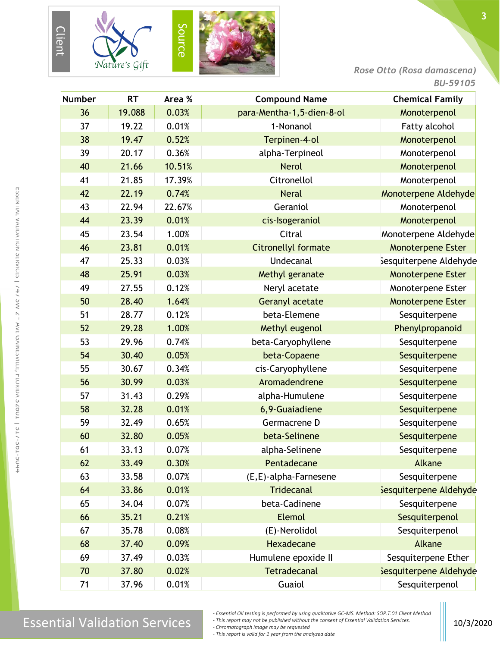





*Rose Otto (Rosa damascena)*

| <b>Number</b> | <b>RT</b> | Area % | <b>Compound Name</b>       | <b>Chemical Family</b>   |
|---------------|-----------|--------|----------------------------|--------------------------|
| 36            | 19.088    | 0.03%  | para-Mentha-1,5-dien-8-ol  | Monoterpenol             |
| 37            | 19.22     | 0.01%  | 1-Nonanol                  | Fatty alcohol            |
| 38            | 19.47     | 0.52%  | Terpinen-4-ol              | Monoterpenol             |
| 39            | 20.17     | 0.36%  | alpha-Terpineol            | Monoterpenol             |
| 40            | 21.66     | 10.51% | <b>Nerol</b>               | Monoterpenol             |
| 41            | 21.85     | 17.39% | Citronellol                | Monoterpenol             |
| 42            | 22.19     | 0.74%  | <b>Neral</b>               | Monoterpene Aldehyde     |
| 43            | 22.94     | 22.67% | Geraniol                   | Monoterpenol             |
| 44            | 23.39     | 0.01%  | cis-Isogeraniol            | Monoterpenol             |
| 45            | 23.54     | 1.00%  | Citral                     | Monoterpene Aldehyde     |
| 46            | 23.81     | 0.01%  | <b>Citronellyl formate</b> | Monoterpene Ester        |
| 47            | 25.33     | 0.03%  | <b>Undecanal</b>           | Sesquiterpene Aldehyde   |
| 48            | 25.91     | 0.03%  | Methyl geranate            | Monoterpene Ester        |
| 49            | 27.55     | 0.12%  | Neryl acetate              | Monoterpene Ester        |
| 50            | 28.40     | 1.64%  | <b>Geranyl acetate</b>     | <b>Monoterpene Ester</b> |
| 51            | 28.77     | 0.12%  | beta-Elemene               | Sesquiterpene            |
| 52            | 29.28     | 1.00%  | Methyl eugenol             | Phenylpropanoid          |
| 53            | 29.96     | 0.74%  | beta-Caryophyllene         | Sesquiterpene            |
| 54            | 30.40     | 0.05%  | beta-Copaene               | Sesquiterpene            |
| 55            | 30.67     | 0.34%  | cis-Caryophyllene          | Sesquiterpene            |
| 56            | 30.99     | 0.03%  | Aromadendrene              | Sesquiterpene            |
| 57            | 31.43     | 0.29%  | alpha-Humulene             | Sesquiterpene            |
| 58            | 32.28     | 0.01%  | 6,9-Guaiadiene             | Sesquiterpene            |
| 59            | 32.49     | 0.65%  | Germacrene D               | Sesquiterpene            |
| 60            | 32.80     | 0.05%  | beta-Selinene              | Sesquiterpene            |
| 61            | 33.13     | 0.07%  | alpha-Selinene             | Sesquiterpene            |
| 62            | 33.49     | 0.30%  | Pentadecane                | Alkane                   |
| 63            | 33.58     | 0.07%  | (E,E)-alpha-Farnesene      | Sesquiterpene            |
| 64            | 33.86     | 0.01%  | <b>Tridecanal</b>          | Sesquiterpene Aldehyde   |
| 65            | 34.04     | 0.07%  | beta-Cadinene              | Sesquiterpene            |
| 66            | 35.21     | 0.21%  | <b>Elemol</b>              | Sesquiterpenol           |
| 67            | 35.78     | 0.08%  | (E)-Nerolidol              | Sesquiterpenol           |
| 68            | 37.40     | 0.09%  | Hexadecane                 | Alkane                   |
| 69            | 37.49     | 0.03%  | Humulene epoxide II        | Sesquiterpene Ether      |
| 70            | 37.80     | 0.02%  | <b>Tetradecanal</b>        | Sesquiterpene Aldehyde   |
| 71            | 37.96     | 0.01%  | Guaiol                     | Sesquiterpenol           |

*- This report may not be published without the consent of Essential Validation Services.*

*- Chromatograph image may be requested*

*- This report is valid for 1 year from the analyzed date*

*<sup>-</sup> Essential Oil testing is performed by using qualitative GC-MS. Method: SOP.T.01 Client Method*